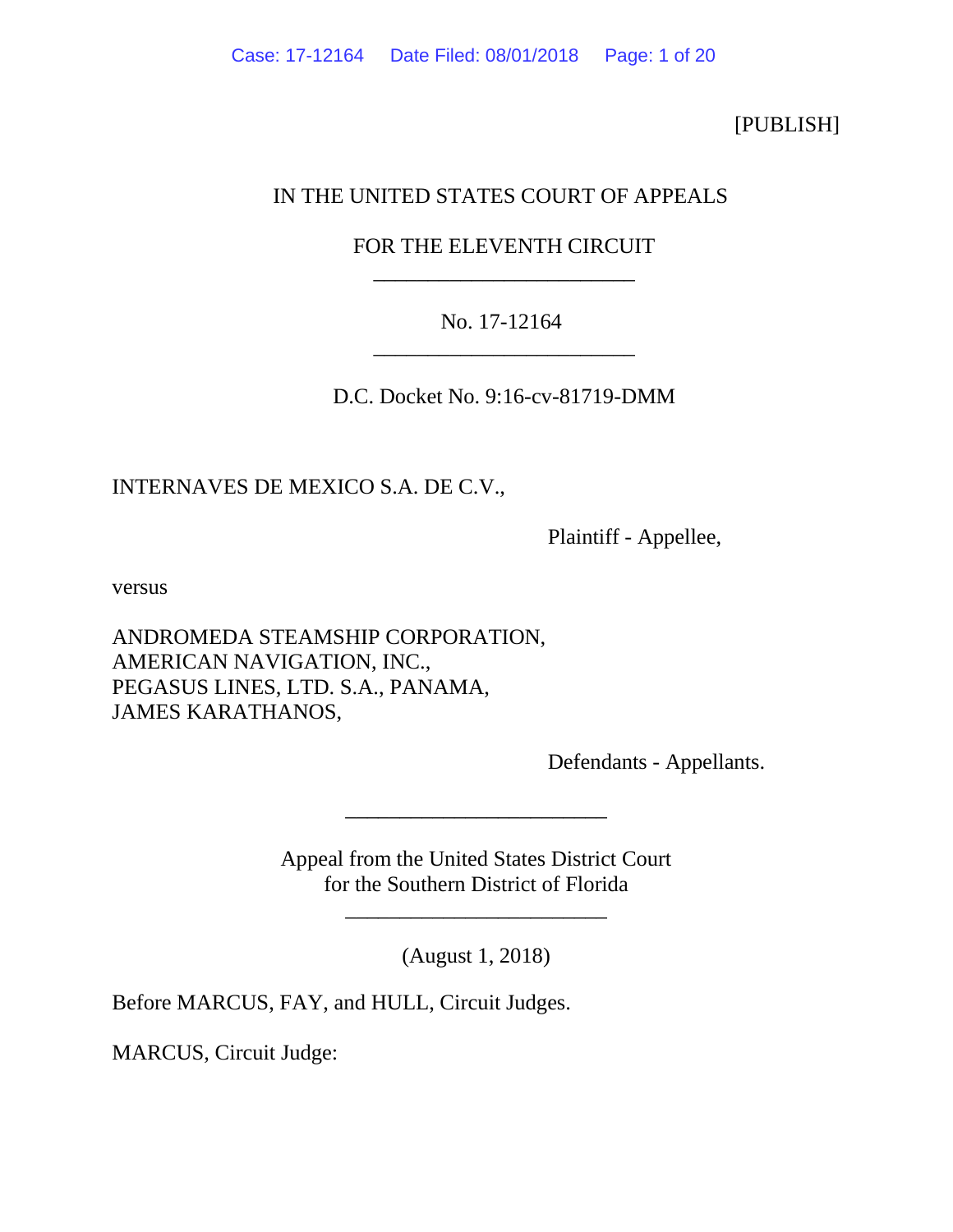[PUBLISH]

# IN THE UNITED STATES COURT OF APPEALS

# FOR THE ELEVENTH CIRCUIT \_\_\_\_\_\_\_\_\_\_\_\_\_\_\_\_\_\_\_\_\_\_\_\_

# No. 17-12164 \_\_\_\_\_\_\_\_\_\_\_\_\_\_\_\_\_\_\_\_\_\_\_\_

D.C. Docket No. 9:16-cv-81719-DMM

INTERNAVES DE MEXICO S.A. DE C.V.,

Plaintiff - Appellee,

versus

ANDROMEDA STEAMSHIP CORPORATION, AMERICAN NAVIGATION, INC., PEGASUS LINES, LTD. S.A., PANAMA, JAMES KARATHANOS,

Defendants - Appellants.

Appeal from the United States District Court for the Southern District of Florida

\_\_\_\_\_\_\_\_\_\_\_\_\_\_\_\_\_\_\_\_\_\_\_\_

\_\_\_\_\_\_\_\_\_\_\_\_\_\_\_\_\_\_\_\_\_\_\_\_

(August 1, 2018)

Before MARCUS, FAY, and HULL, Circuit Judges.

MARCUS, Circuit Judge: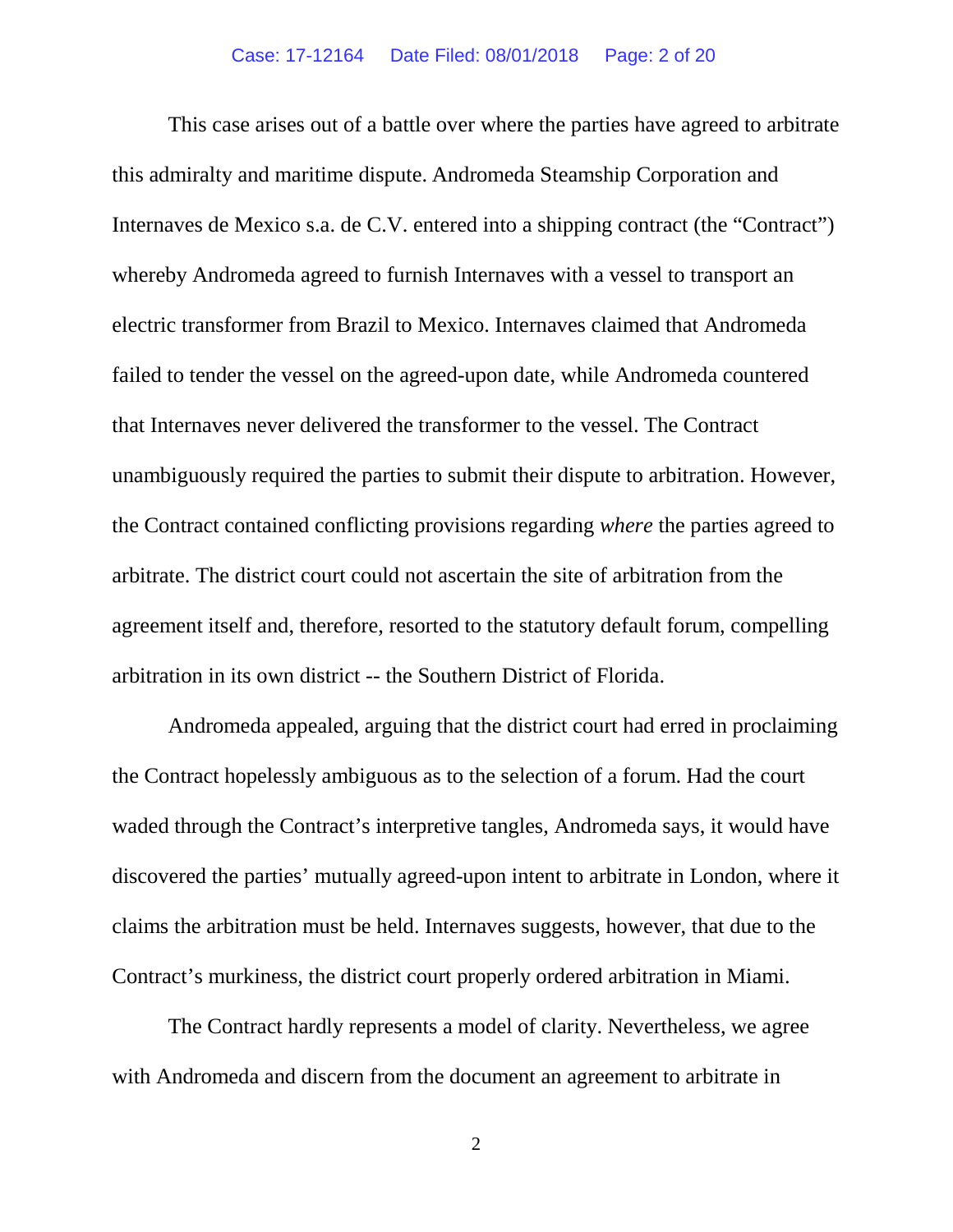This case arises out of a battle over where the parties have agreed to arbitrate this admiralty and maritime dispute. Andromeda Steamship Corporation and Internaves de Mexico s.a. de C.V. entered into a shipping contract (the "Contract") whereby Andromeda agreed to furnish Internaves with a vessel to transport an electric transformer from Brazil to Mexico. Internaves claimed that Andromeda failed to tender the vessel on the agreed-upon date, while Andromeda countered that Internaves never delivered the transformer to the vessel. The Contract unambiguously required the parties to submit their dispute to arbitration. However, the Contract contained conflicting provisions regarding *where* the parties agreed to arbitrate. The district court could not ascertain the site of arbitration from the agreement itself and, therefore, resorted to the statutory default forum, compelling arbitration in its own district -- the Southern District of Florida.

Andromeda appealed, arguing that the district court had erred in proclaiming the Contract hopelessly ambiguous as to the selection of a forum. Had the court waded through the Contract's interpretive tangles, Andromeda says, it would have discovered the parties' mutually agreed-upon intent to arbitrate in London, where it claims the arbitration must be held. Internaves suggests, however, that due to the Contract's murkiness, the district court properly ordered arbitration in Miami.

The Contract hardly represents a model of clarity. Nevertheless, we agree with Andromeda and discern from the document an agreement to arbitrate in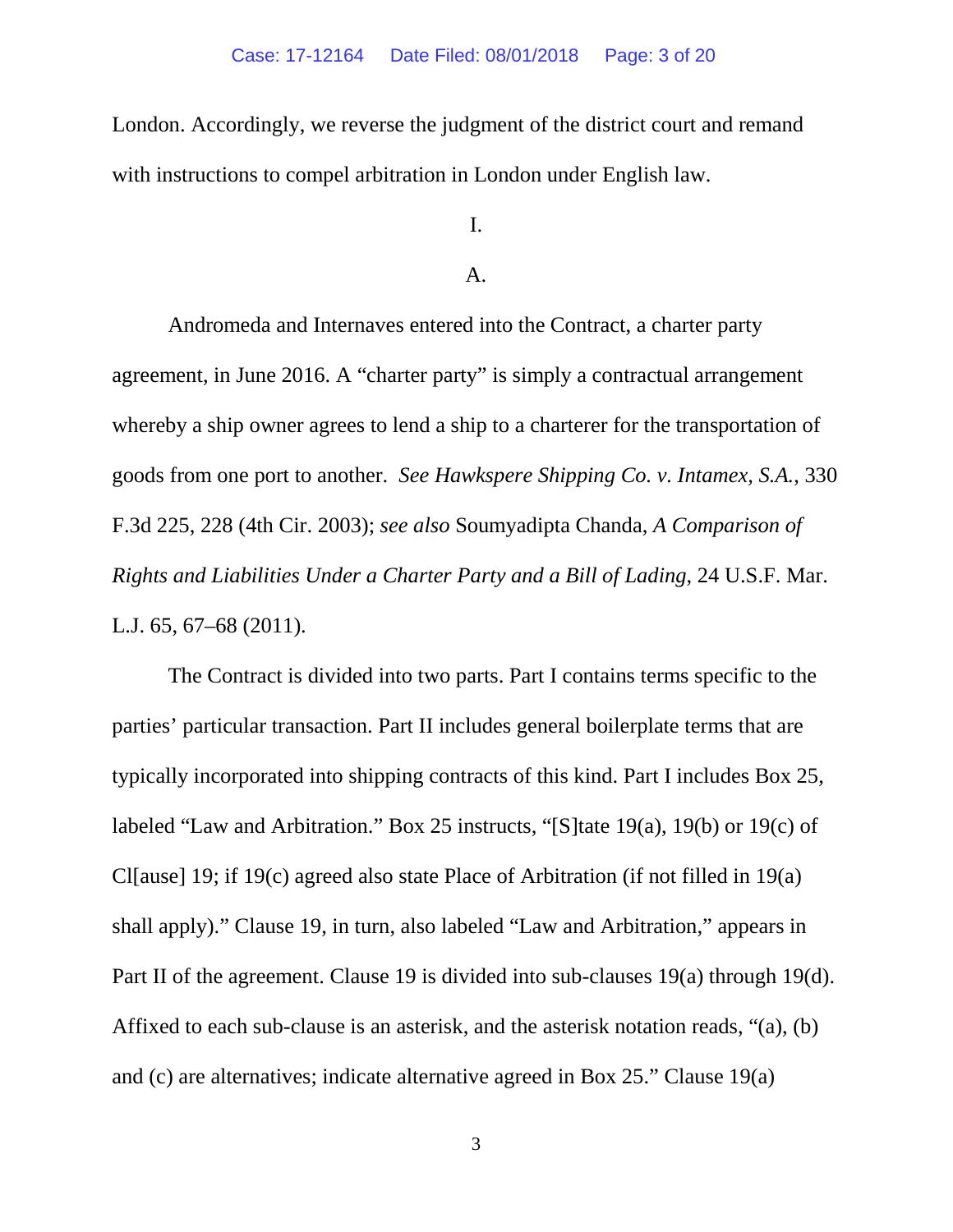London. Accordingly, we reverse the judgment of the district court and remand with instructions to compel arbitration in London under English law.

# I.

#### A.

Andromeda and Internaves entered into the Contract, a charter party agreement, in June 2016. A "charter party" is simply a contractual arrangement whereby a ship owner agrees to lend a ship to a charterer for the transportation of goods from one port to another. *See Hawkspere Shipping Co. v. Intamex, S.A.*, 330 F.3d 225, 228 (4th Cir. 2003); *see also* Soumyadipta Chanda, *A Comparison of Rights and Liabilities Under a Charter Party and a Bill of Lading*, 24 U.S.F. Mar. L.J. 65, 67–68 (2011).

The Contract is divided into two parts. Part I contains terms specific to the parties' particular transaction. Part II includes general boilerplate terms that are typically incorporated into shipping contracts of this kind. Part I includes Box 25, labeled "Law and Arbitration." Box 25 instructs, "[S]tate 19(a), 19(b) or 19(c) of Cl[ause] 19; if 19(c) agreed also state Place of Arbitration (if not filled in 19(a) shall apply)." Clause 19, in turn, also labeled "Law and Arbitration," appears in Part II of the agreement. Clause 19 is divided into sub-clauses 19(a) through 19(d). Affixed to each sub-clause is an asterisk, and the asterisk notation reads, "(a), (b) and (c) are alternatives; indicate alternative agreed in Box 25." Clause 19(a)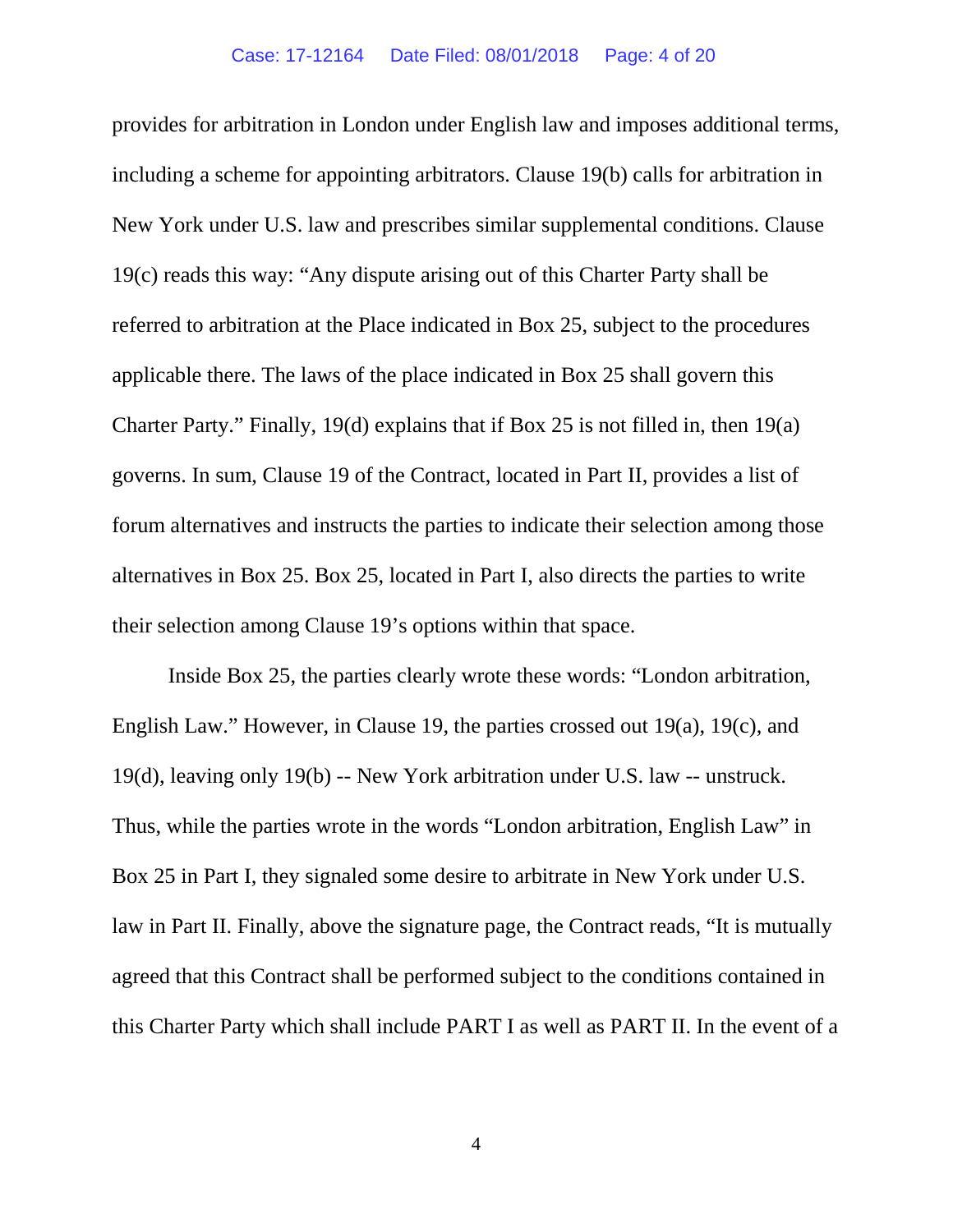provides for arbitration in London under English law and imposes additional terms, including a scheme for appointing arbitrators. Clause 19(b) calls for arbitration in New York under U.S. law and prescribes similar supplemental conditions. Clause 19(c) reads this way: "Any dispute arising out of this Charter Party shall be referred to arbitration at the Place indicated in Box 25, subject to the procedures applicable there. The laws of the place indicated in Box 25 shall govern this Charter Party." Finally, 19(d) explains that if Box 25 is not filled in, then 19(a) governs. In sum, Clause 19 of the Contract, located in Part II, provides a list of forum alternatives and instructs the parties to indicate their selection among those alternatives in Box 25. Box 25, located in Part I, also directs the parties to write their selection among Clause 19's options within that space.

Inside Box 25, the parties clearly wrote these words: "London arbitration, English Law." However, in Clause 19, the parties crossed out 19(a), 19(c), and 19(d), leaving only 19(b) -- New York arbitration under U.S. law -- unstruck. Thus, while the parties wrote in the words "London arbitration, English Law" in Box 25 in Part I, they signaled some desire to arbitrate in New York under U.S. law in Part II. Finally, above the signature page, the Contract reads, "It is mutually agreed that this Contract shall be performed subject to the conditions contained in this Charter Party which shall include PART I as well as PART II. In the event of a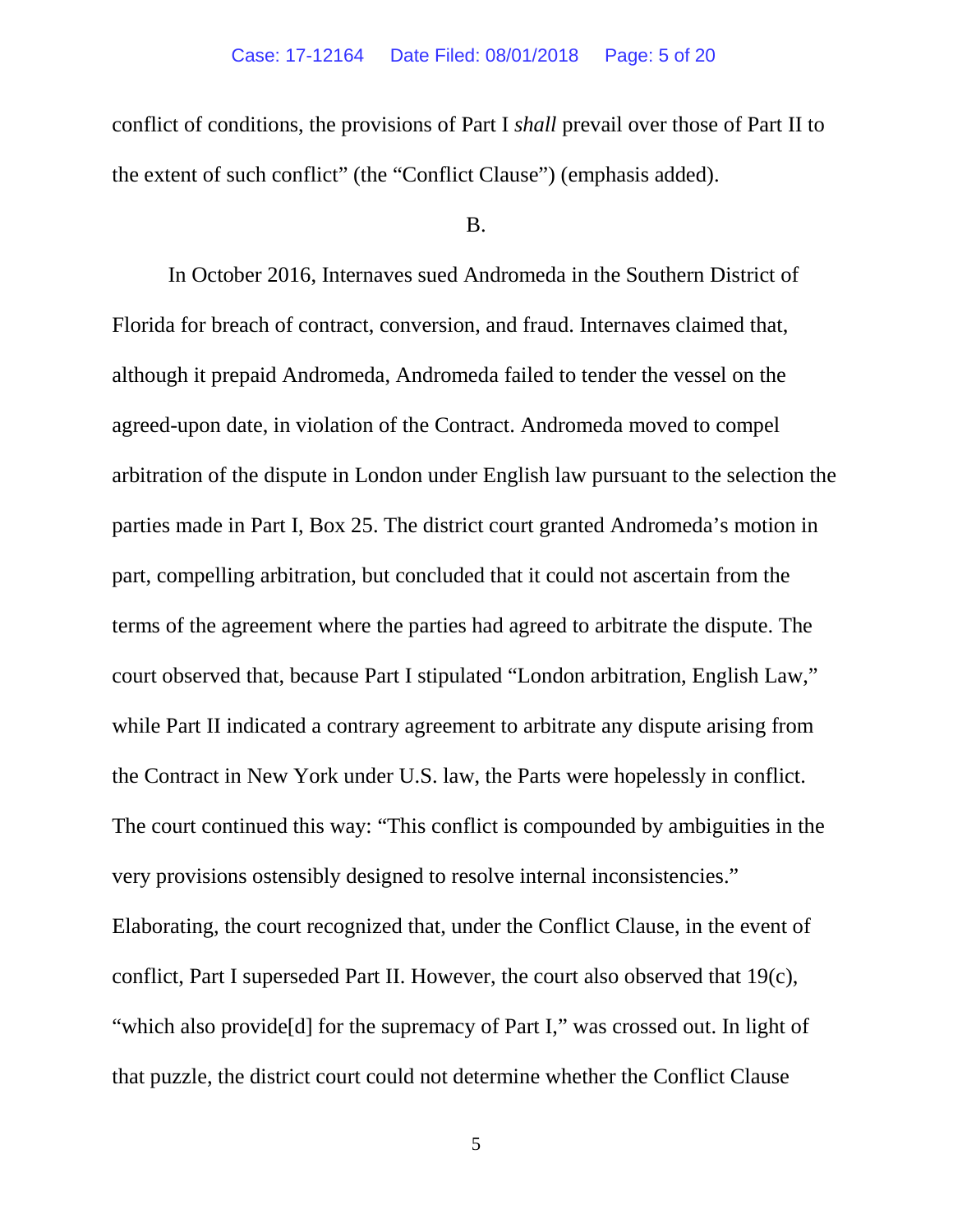conflict of conditions, the provisions of Part I *shall* prevail over those of Part II to the extent of such conflict" (the "Conflict Clause") (emphasis added).

#### B.

In October 2016, Internaves sued Andromeda in the Southern District of Florida for breach of contract, conversion, and fraud. Internaves claimed that, although it prepaid Andromeda, Andromeda failed to tender the vessel on the agreed-upon date, in violation of the Contract. Andromeda moved to compel arbitration of the dispute in London under English law pursuant to the selection the parties made in Part I, Box 25. The district court granted Andromeda's motion in part, compelling arbitration, but concluded that it could not ascertain from the terms of the agreement where the parties had agreed to arbitrate the dispute. The court observed that, because Part I stipulated "London arbitration, English Law," while Part II indicated a contrary agreement to arbitrate any dispute arising from the Contract in New York under U.S. law, the Parts were hopelessly in conflict. The court continued this way: "This conflict is compounded by ambiguities in the very provisions ostensibly designed to resolve internal inconsistencies." Elaborating, the court recognized that, under the Conflict Clause, in the event of conflict, Part I superseded Part II. However, the court also observed that 19(c), "which also provide[d] for the supremacy of Part I," was crossed out. In light of that puzzle, the district court could not determine whether the Conflict Clause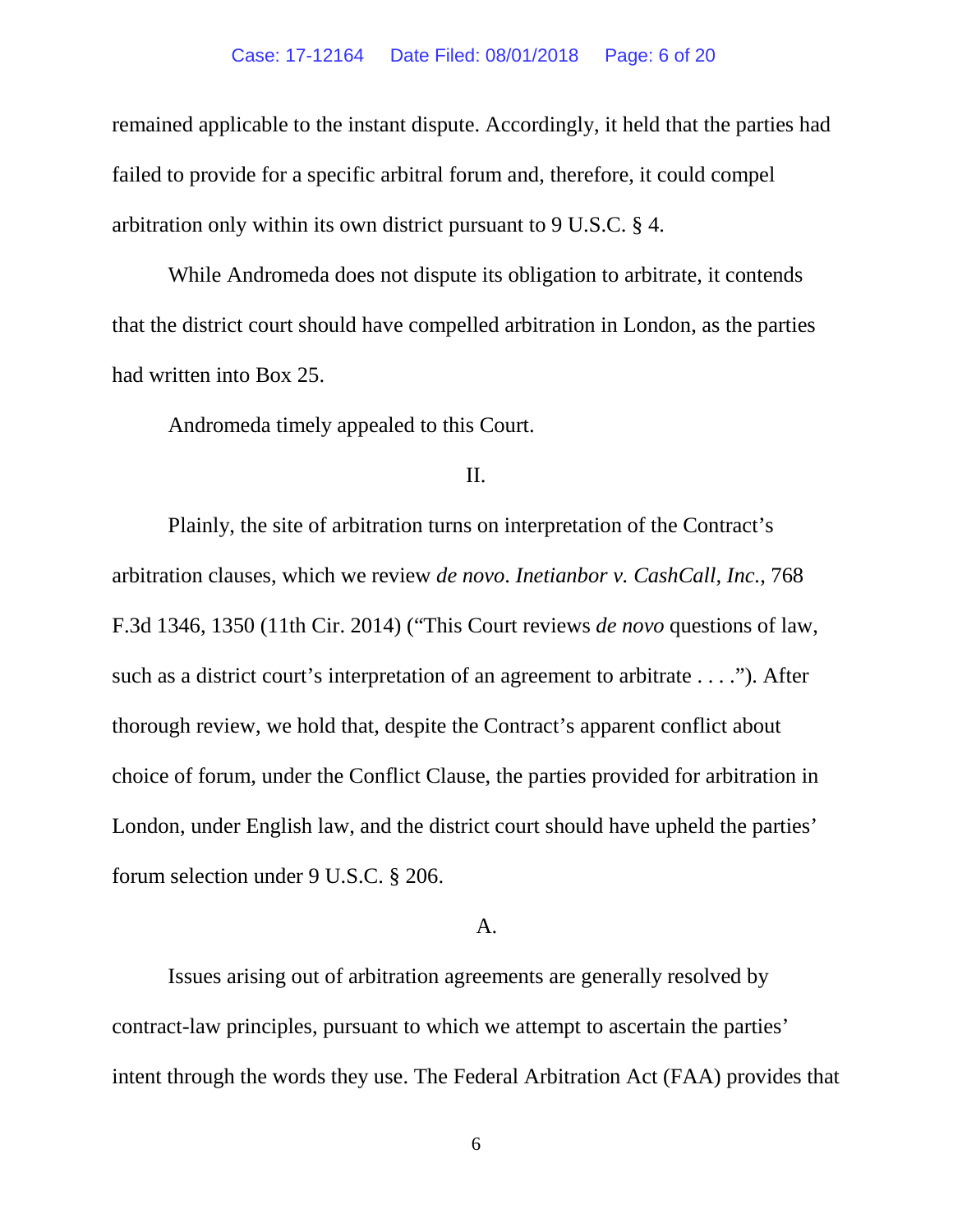#### Case: 17-12164 Date Filed: 08/01/2018 Page: 6 of 20

remained applicable to the instant dispute. Accordingly, it held that the parties had failed to provide for a specific arbitral forum and, therefore, it could compel arbitration only within its own district pursuant to 9 U.S.C. § 4.

While Andromeda does not dispute its obligation to arbitrate, it contends that the district court should have compelled arbitration in London, as the parties had written into Box 25.

Andromeda timely appealed to this Court.

### II.

Plainly, the site of arbitration turns on interpretation of the Contract's arbitration clauses, which we review *de novo*. *Inetianbor v. CashCall, Inc.*, 768 F.3d 1346, 1350 (11th Cir. 2014) ("This Court reviews *de novo* questions of law, such as a district court's interpretation of an agreement to arbitrate . . . ."). After thorough review, we hold that, despite the Contract's apparent conflict about choice of forum, under the Conflict Clause, the parties provided for arbitration in London, under English law, and the district court should have upheld the parties' forum selection under 9 U.S.C. § 206.

#### A.

Issues arising out of arbitration agreements are generally resolved by contract-law principles, pursuant to which we attempt to ascertain the parties' intent through the words they use. The Federal Arbitration Act (FAA) provides that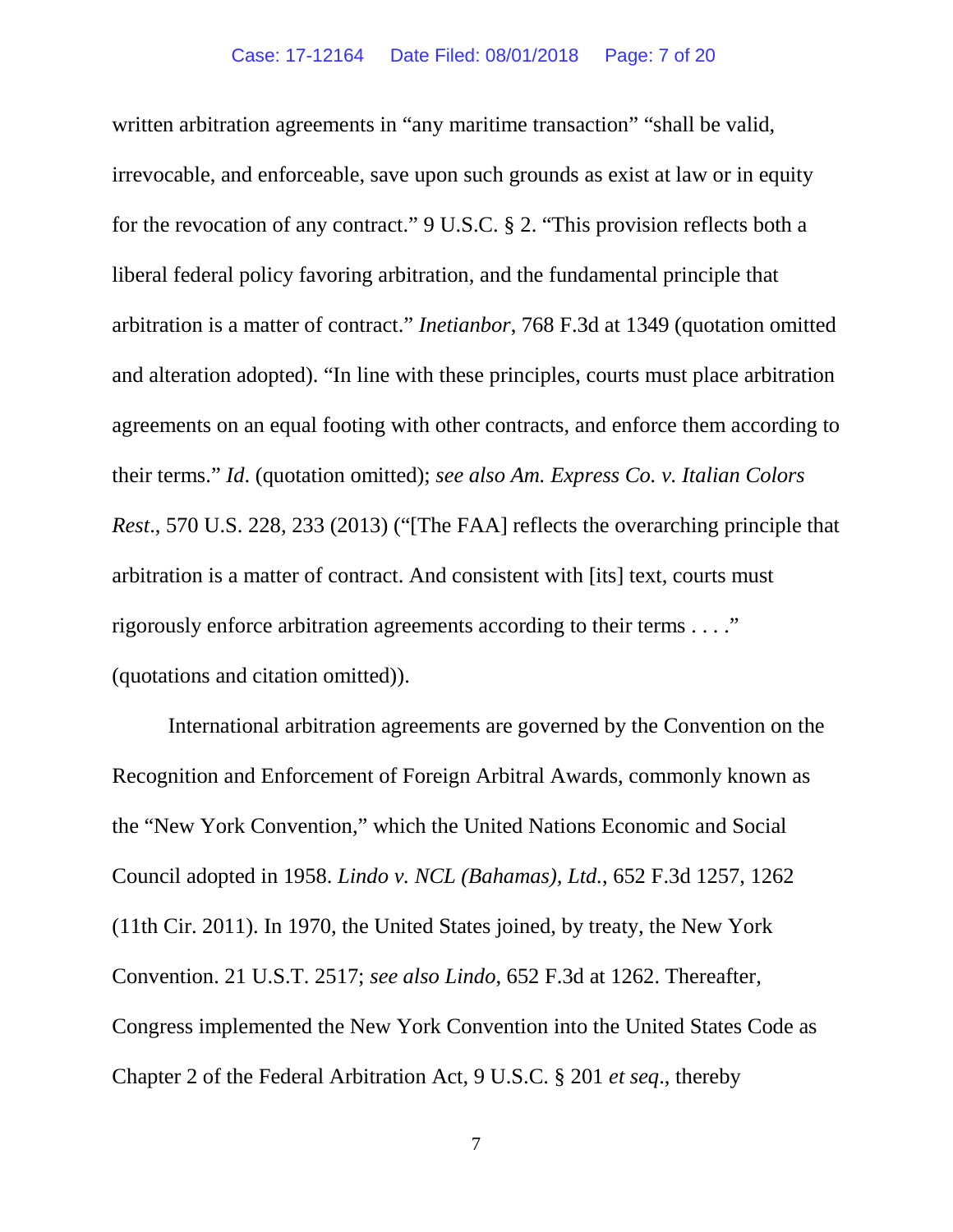written arbitration agreements in "any maritime transaction" "shall be valid, irrevocable, and enforceable, save upon such grounds as exist at law or in equity for the revocation of any contract." 9 U.S.C. § 2. "This provision reflects both a liberal federal policy favoring arbitration, and the fundamental principle that arbitration is a matter of contract." *Inetianbor*, 768 F.3d at 1349 (quotation omitted and alteration adopted). "In line with these principles, courts must place arbitration agreements on an equal footing with other contracts, and enforce them according to their terms." *Id*. (quotation omitted); *see also Am. Express Co. v. Italian Colors Rest*., 570 U.S. 228, 233 (2013) ("[The FAA] reflects the overarching principle that arbitration is a matter of contract. And consistent with [its] text, courts must rigorously enforce arbitration agreements according to their terms . . . ." (quotations and citation omitted)).

International arbitration agreements are governed by the Convention on the Recognition and Enforcement of Foreign Arbitral Awards, commonly known as the "New York Convention," which the United Nations Economic and Social Council adopted in 1958. *Lindo v. NCL (Bahamas), Ltd.*, 652 F.3d 1257, 1262 (11th Cir. 2011). In 1970, the United States joined, by treaty, the New York Convention. 21 U.S.T. 2517; *see also Lindo*, 652 F.3d at 1262. Thereafter, Congress implemented the New York Convention into the United States Code as Chapter 2 of the Federal Arbitration Act, 9 U.S.C. § 201 *et seq*., thereby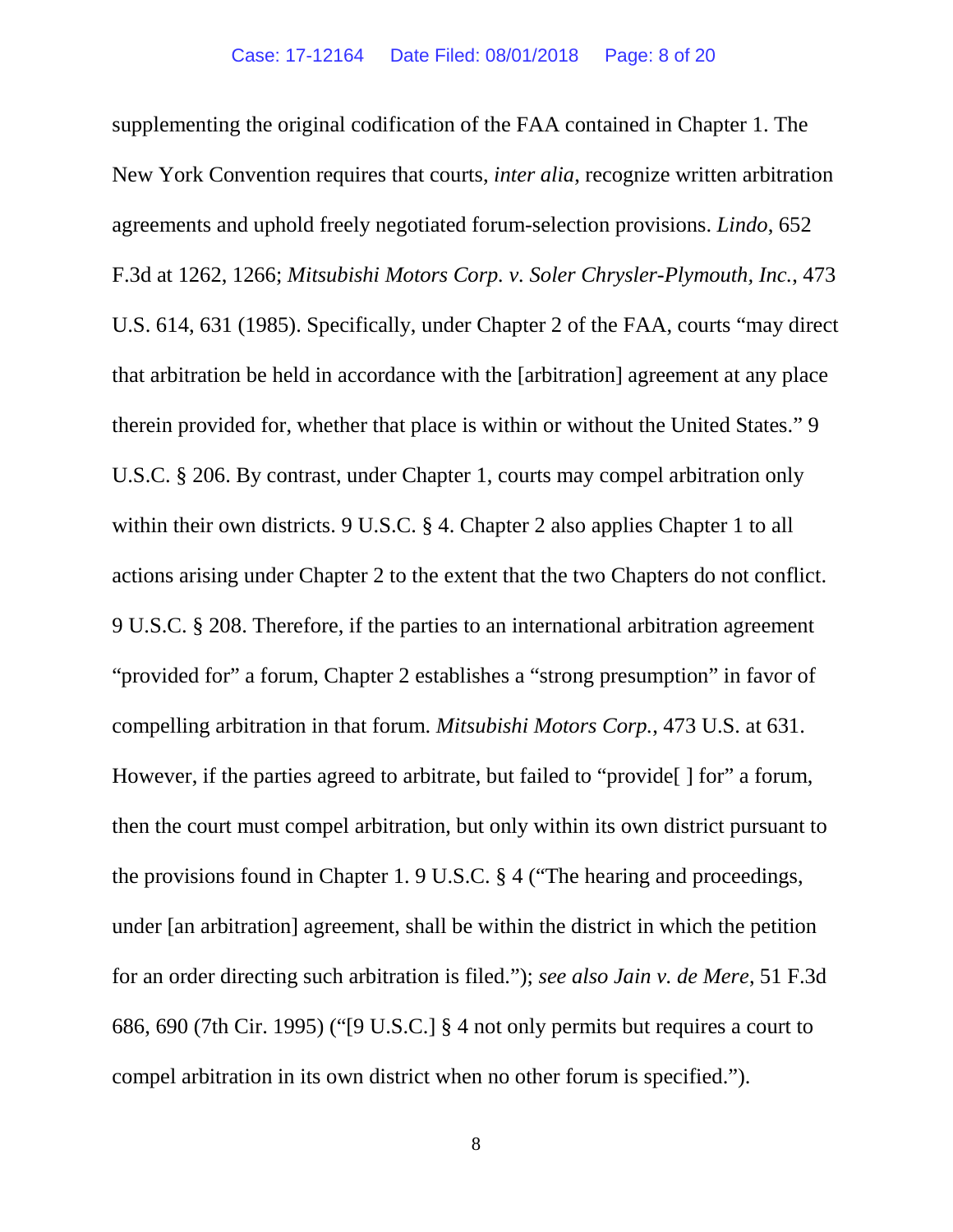supplementing the original codification of the FAA contained in Chapter 1. The New York Convention requires that courts, *inter alia*, recognize written arbitration agreements and uphold freely negotiated forum-selection provisions. *Lindo*, 652 F.3d at 1262, 1266; *Mitsubishi Motors Corp. v. Soler Chrysler-Plymouth, Inc.*, 473 U.S. 614, 631 (1985). Specifically, under Chapter 2 of the FAA, courts "may direct that arbitration be held in accordance with the [arbitration] agreement at any place therein provided for, whether that place is within or without the United States." 9 U.S.C. § 206. By contrast, under Chapter 1, courts may compel arbitration only within their own districts. 9 U.S.C. § 4. Chapter 2 also applies Chapter 1 to all actions arising under Chapter 2 to the extent that the two Chapters do not conflict. 9 U.S.C. § 208. Therefore, if the parties to an international arbitration agreement "provided for" a forum, Chapter 2 establishes a "strong presumption" in favor of compelling arbitration in that forum. *Mitsubishi Motors Corp.*, 473 U.S. at 631. However, if the parties agreed to arbitrate, but failed to "provide. I formed form, then the court must compel arbitration, but only within its own district pursuant to the provisions found in Chapter 1. 9 U.S.C. § 4 ("The hearing and proceedings, under [an arbitration] agreement, shall be within the district in which the petition for an order directing such arbitration is filed."); *see also Jain v. de Mere*, 51 F.3d 686, 690 (7th Cir. 1995) ("[9 U.S.C.] § 4 not only permits but requires a court to compel arbitration in its own district when no other forum is specified.").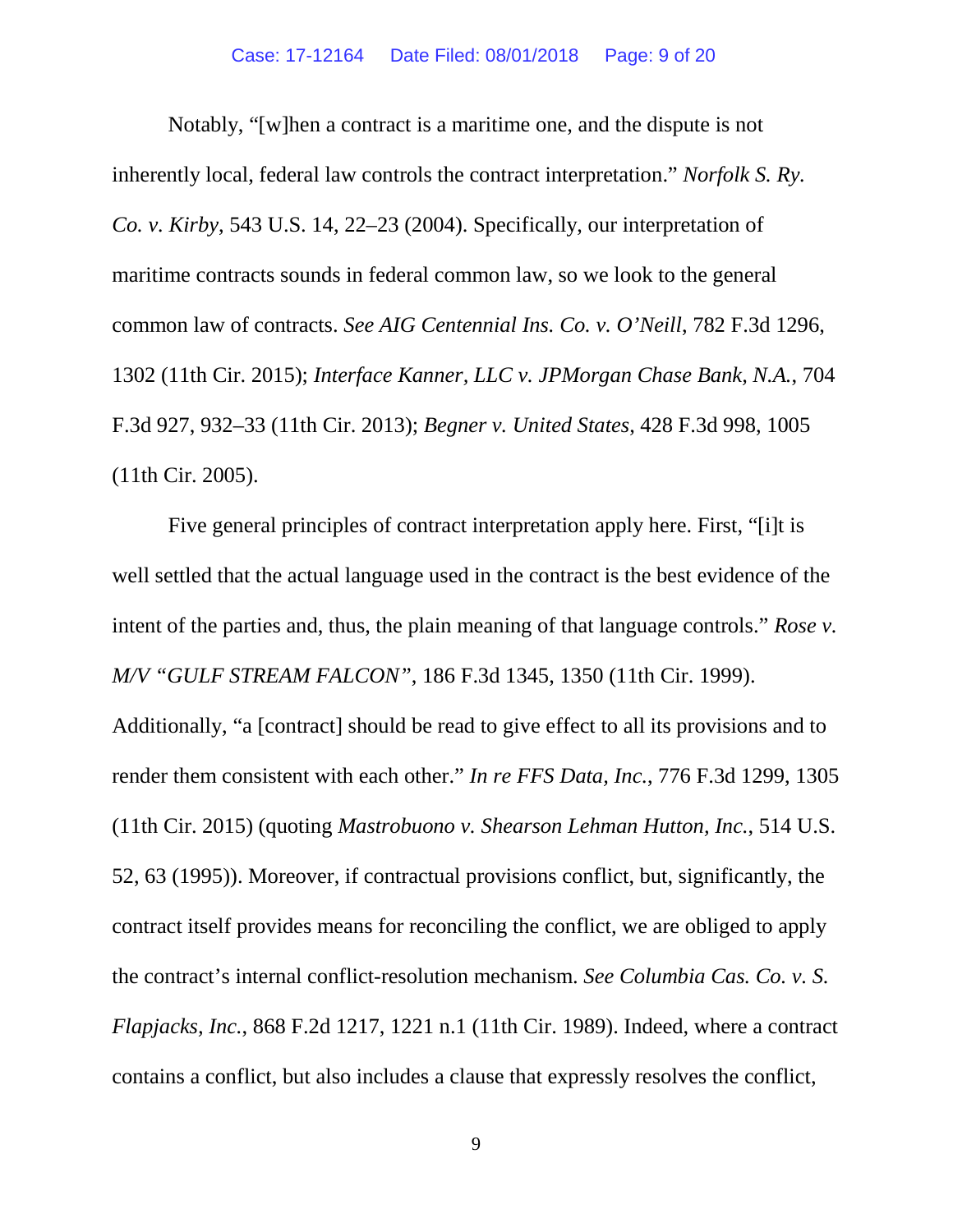Notably, "[w]hen a contract is a maritime one, and the dispute is not inherently local, federal law controls the contract interpretation." *Norfolk S. Ry. Co. v. Kirby*, 543 U.S. 14, 22–23 (2004). Specifically, our interpretation of maritime contracts sounds in federal common law, so we look to the general common law of contracts. *See AIG Centennial Ins. Co. v. O'Neill*, 782 F.3d 1296, 1302 (11th Cir. 2015); *Interface Kanner, LLC v. JPMorgan Chase Bank, N.A.*, 704 F.3d 927, 932–33 (11th Cir. 2013); *Begner v. United States*, 428 F.3d 998, 1005 (11th Cir. 2005).

Five general principles of contract interpretation apply here. First, "[i]t is well settled that the actual language used in the contract is the best evidence of the intent of the parties and, thus, the plain meaning of that language controls." *Rose v. M/V "GULF STREAM FALCON"*, 186 F.3d 1345, 1350 (11th Cir. 1999).

Additionally, "a [contract] should be read to give effect to all its provisions and to render them consistent with each other." *In re FFS Data, Inc.*, 776 F.3d 1299, 1305 (11th Cir. 2015) (quoting *Mastrobuono v. Shearson Lehman Hutton, Inc.*, 514 U.S. 52, 63 (1995)). Moreover, if contractual provisions conflict, but, significantly, the contract itself provides means for reconciling the conflict, we are obliged to apply the contract's internal conflict-resolution mechanism. *See Columbia Cas. Co. v. S. Flapjacks, Inc.*, 868 F.2d 1217, 1221 n.1 (11th Cir. 1989). Indeed, where a contract contains a conflict, but also includes a clause that expressly resolves the conflict,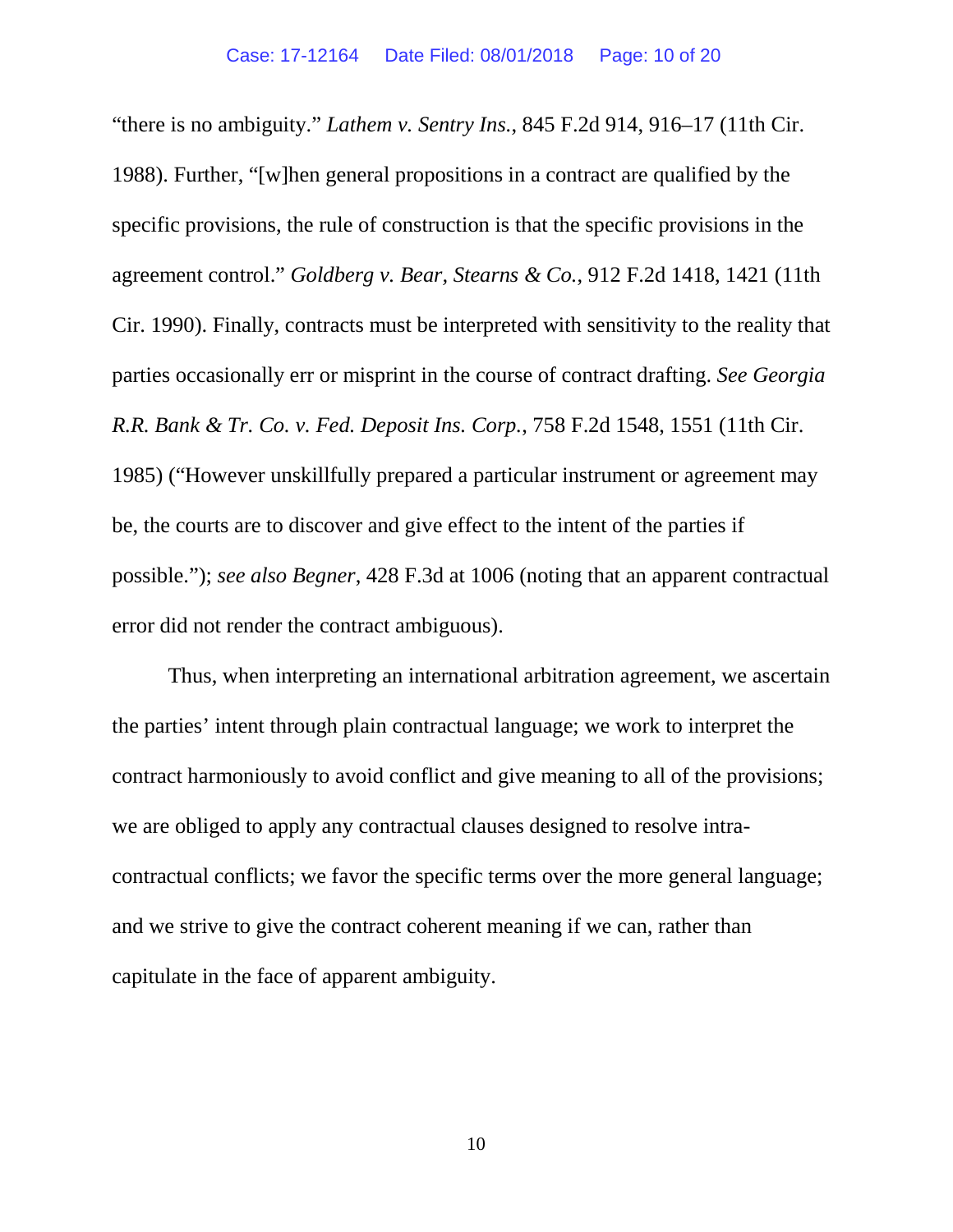"there is no ambiguity." *Lathem v. Sentry Ins.*, 845 F.2d 914, 916–17 (11th Cir. 1988). Further, "[w]hen general propositions in a contract are qualified by the specific provisions, the rule of construction is that the specific provisions in the agreement control." *Goldberg v. Bear, Stearns & Co.*, 912 F.2d 1418, 1421 (11th Cir. 1990). Finally, contracts must be interpreted with sensitivity to the reality that parties occasionally err or misprint in the course of contract drafting. *See Georgia R.R. Bank & Tr. Co. v. Fed. Deposit Ins. Corp.*, 758 F.2d 1548, 1551 (11th Cir. 1985) ("However unskillfully prepared a particular instrument or agreement may be, the courts are to discover and give effect to the intent of the parties if possible."); *see also Begner*, 428 F.3d at 1006 (noting that an apparent contractual error did not render the contract ambiguous).

Thus, when interpreting an international arbitration agreement, we ascertain the parties' intent through plain contractual language; we work to interpret the contract harmoniously to avoid conflict and give meaning to all of the provisions; we are obliged to apply any contractual clauses designed to resolve intracontractual conflicts; we favor the specific terms over the more general language; and we strive to give the contract coherent meaning if we can, rather than capitulate in the face of apparent ambiguity.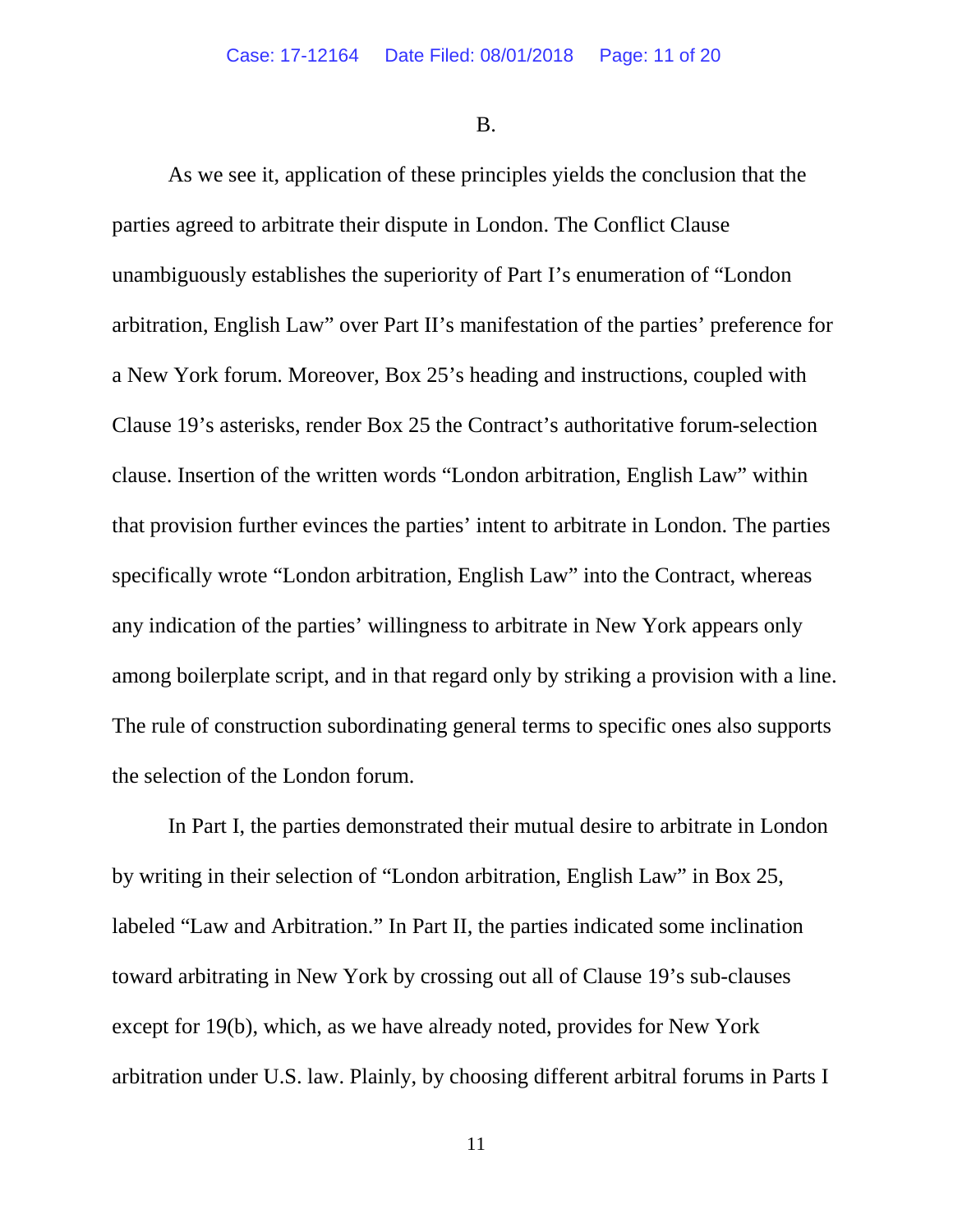B.

As we see it, application of these principles yields the conclusion that the parties agreed to arbitrate their dispute in London. The Conflict Clause unambiguously establishes the superiority of Part I's enumeration of "London arbitration, English Law" over Part II's manifestation of the parties' preference for a New York forum. Moreover, Box 25's heading and instructions, coupled with Clause 19's asterisks, render Box 25 the Contract's authoritative forum-selection clause. Insertion of the written words "London arbitration, English Law" within that provision further evinces the parties' intent to arbitrate in London. The parties specifically wrote "London arbitration, English Law" into the Contract, whereas any indication of the parties' willingness to arbitrate in New York appears only among boilerplate script, and in that regard only by striking a provision with a line. The rule of construction subordinating general terms to specific ones also supports the selection of the London forum.

In Part I, the parties demonstrated their mutual desire to arbitrate in London by writing in their selection of "London arbitration, English Law" in Box 25, labeled "Law and Arbitration." In Part II, the parties indicated some inclination toward arbitrating in New York by crossing out all of Clause 19's sub-clauses except for 19(b), which, as we have already noted, provides for New York arbitration under U.S. law. Plainly, by choosing different arbitral forums in Parts I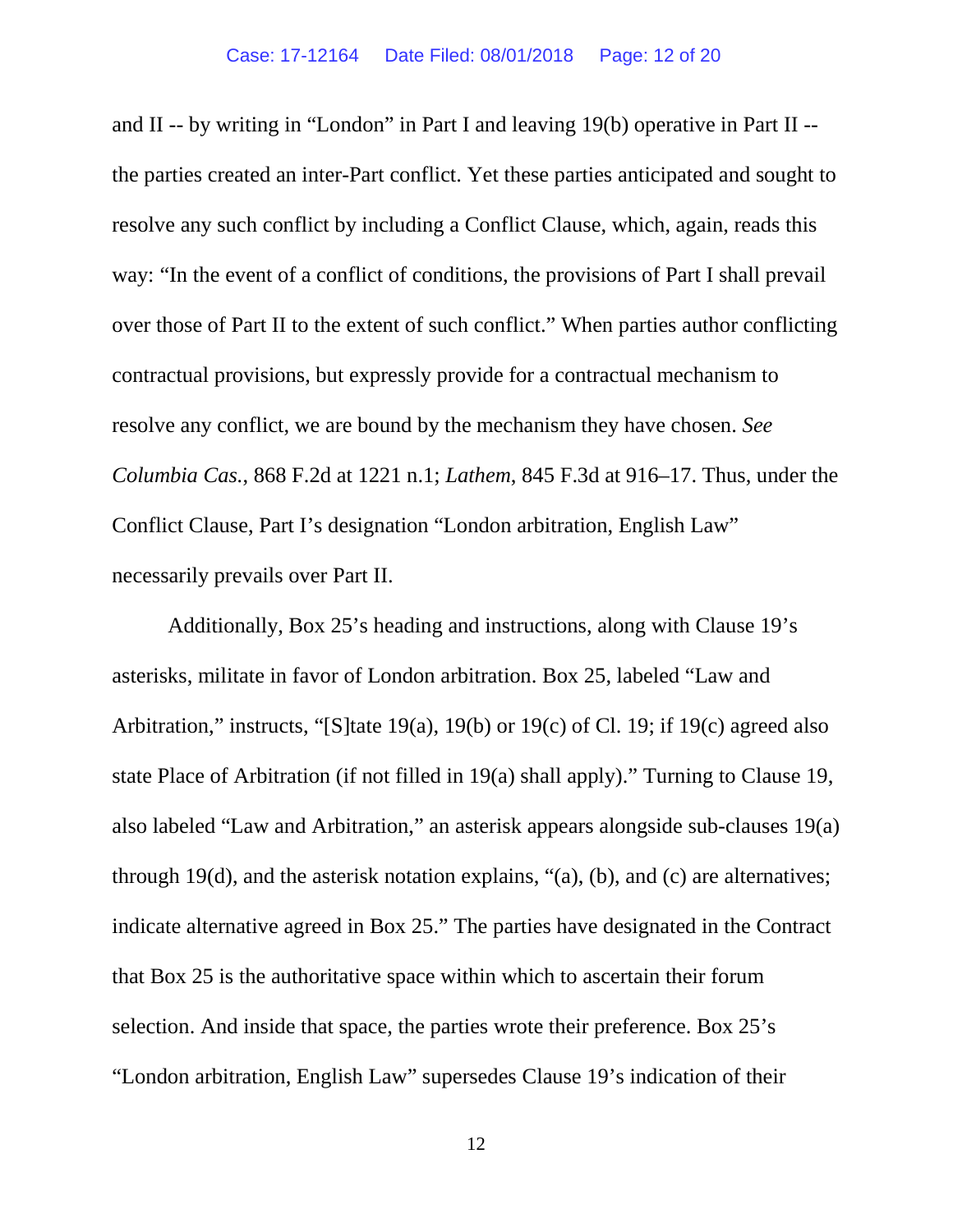and II -- by writing in "London" in Part I and leaving 19(b) operative in Part II - the parties created an inter-Part conflict. Yet these parties anticipated and sought to resolve any such conflict by including a Conflict Clause, which, again, reads this way: "In the event of a conflict of conditions, the provisions of Part I shall prevail over those of Part II to the extent of such conflict." When parties author conflicting contractual provisions, but expressly provide for a contractual mechanism to resolve any conflict, we are bound by the mechanism they have chosen. *See Columbia Cas.*, 868 F.2d at 1221 n.1; *Lathem*, 845 F.3d at 916–17. Thus, under the Conflict Clause, Part I's designation "London arbitration, English Law" necessarily prevails over Part II.

Additionally, Box 25's heading and instructions, along with Clause 19's asterisks, militate in favor of London arbitration. Box 25, labeled "Law and Arbitration," instructs, "[S]tate 19(a), 19(b) or 19(c) of Cl. 19; if 19(c) agreed also state Place of Arbitration (if not filled in 19(a) shall apply)." Turning to Clause 19, also labeled "Law and Arbitration," an asterisk appears alongside sub-clauses 19(a) through 19(d), and the asterisk notation explains, "(a), (b), and (c) are alternatives; indicate alternative agreed in Box 25." The parties have designated in the Contract that Box 25 is the authoritative space within which to ascertain their forum selection. And inside that space, the parties wrote their preference. Box 25's "London arbitration, English Law" supersedes Clause 19's indication of their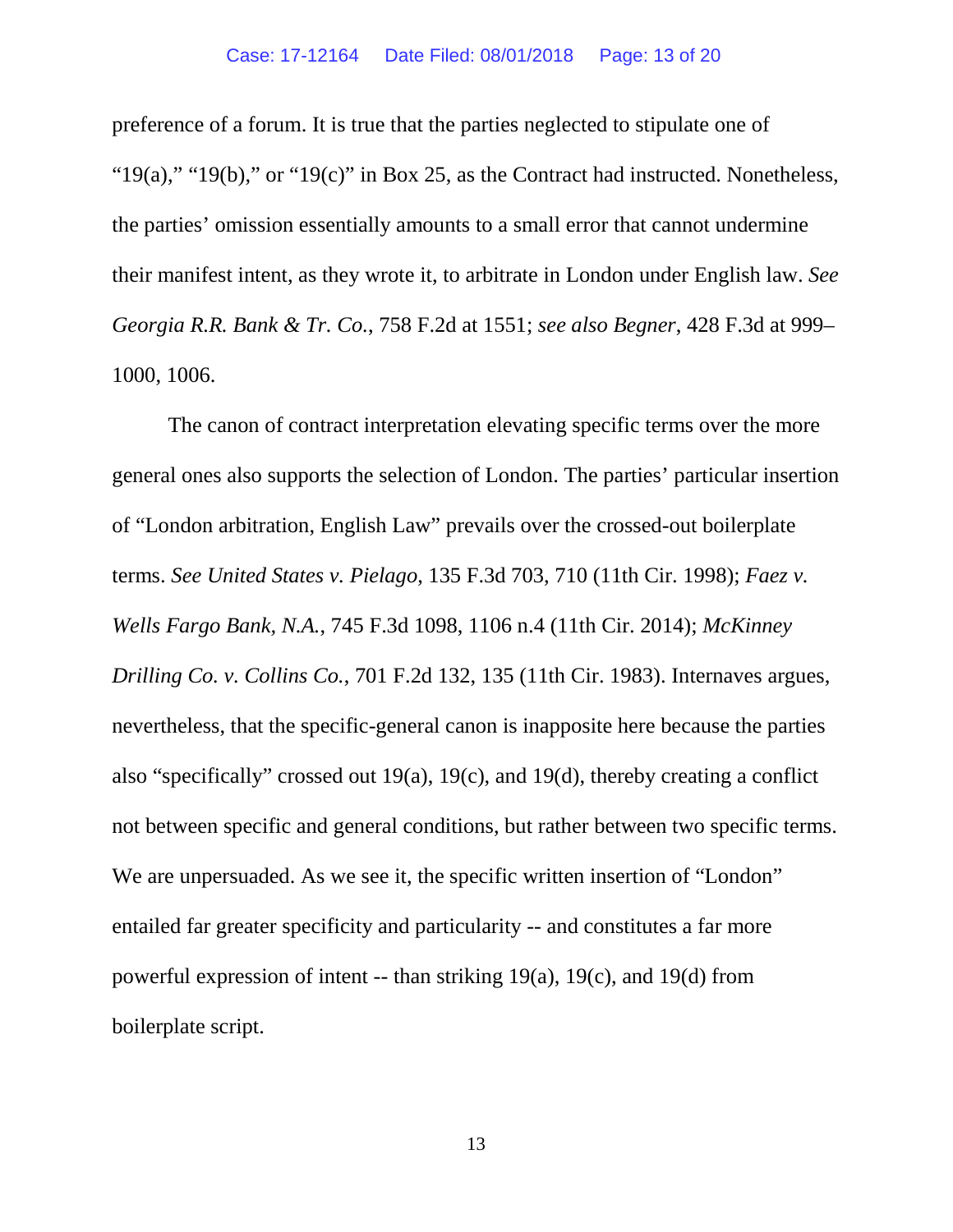preference of a forum. It is true that the parties neglected to stipulate one of " $19(a)$ ," " $19(b)$ ," or " $19(c)$ " in Box 25, as the Contract had instructed. Nonetheless, the parties' omission essentially amounts to a small error that cannot undermine their manifest intent, as they wrote it, to arbitrate in London under English law. *See Georgia R.R. Bank & Tr. Co.*, 758 F.2d at 1551; *see also Begner*, 428 F.3d at 999– 1000, 1006.

The canon of contract interpretation elevating specific terms over the more general ones also supports the selection of London. The parties' particular insertion of "London arbitration, English Law" prevails over the crossed-out boilerplate terms. *See United States v. Pielago*, 135 F.3d 703, 710 (11th Cir. 1998); *Faez v. Wells Fargo Bank, N.A.*, 745 F.3d 1098, 1106 n.4 (11th Cir. 2014); *McKinney Drilling Co. v. Collins Co.*, 701 F.2d 132, 135 (11th Cir. 1983). Internaves argues, nevertheless, that the specific-general canon is inapposite here because the parties also "specifically" crossed out 19(a), 19(c), and 19(d), thereby creating a conflict not between specific and general conditions, but rather between two specific terms. We are unpersuaded. As we see it, the specific written insertion of "London" entailed far greater specificity and particularity -- and constitutes a far more powerful expression of intent -- than striking 19(a), 19(c), and 19(d) from boilerplate script.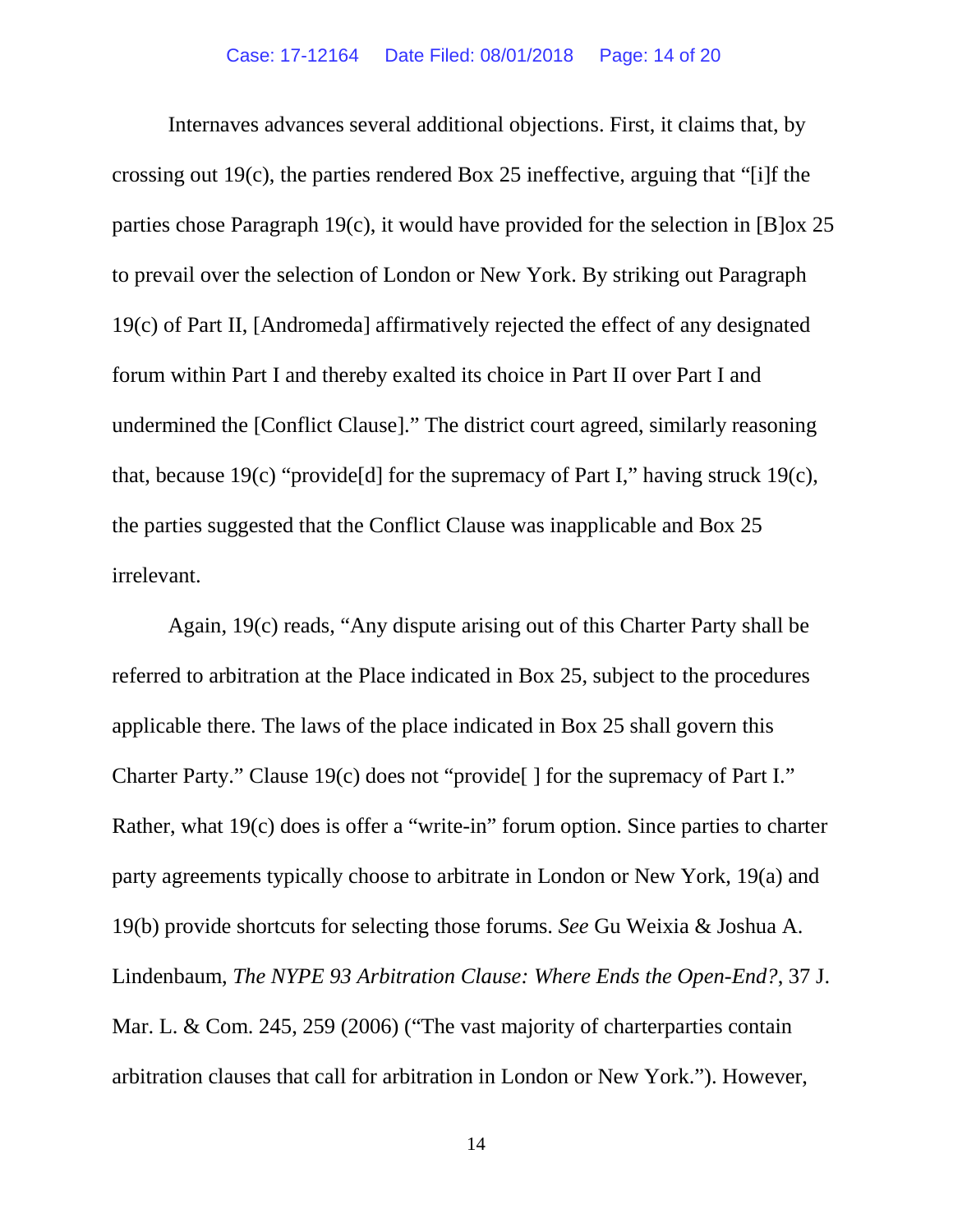Internaves advances several additional objections. First, it claims that, by crossing out 19(c), the parties rendered Box 25 ineffective, arguing that "[i]f the parties chose Paragraph 19(c), it would have provided for the selection in [B]ox 25 to prevail over the selection of London or New York. By striking out Paragraph 19(c) of Part II, [Andromeda] affirmatively rejected the effect of any designated forum within Part I and thereby exalted its choice in Part II over Part I and undermined the [Conflict Clause]." The district court agreed, similarly reasoning that, because  $19(c)$  "provide<sup>[d]</sup> for the supremacy of Part I," having struck  $19(c)$ , the parties suggested that the Conflict Clause was inapplicable and Box 25 irrelevant.

Again, 19(c) reads, "Any dispute arising out of this Charter Party shall be referred to arbitration at the Place indicated in Box 25, subject to the procedures applicable there. The laws of the place indicated in Box 25 shall govern this Charter Party." Clause 19(c) does not "provide[ ] for the supremacy of Part I." Rather, what 19(c) does is offer a "write-in" forum option. Since parties to charter party agreements typically choose to arbitrate in London or New York, 19(a) and 19(b) provide shortcuts for selecting those forums. *See* Gu Weixia & Joshua A. Lindenbaum, *The NYPE 93 Arbitration Clause: Where Ends the Open-End?*, 37 J. Mar. L. & Com. 245, 259 (2006) ("The vast majority of charterparties contain arbitration clauses that call for arbitration in London or New York."). However,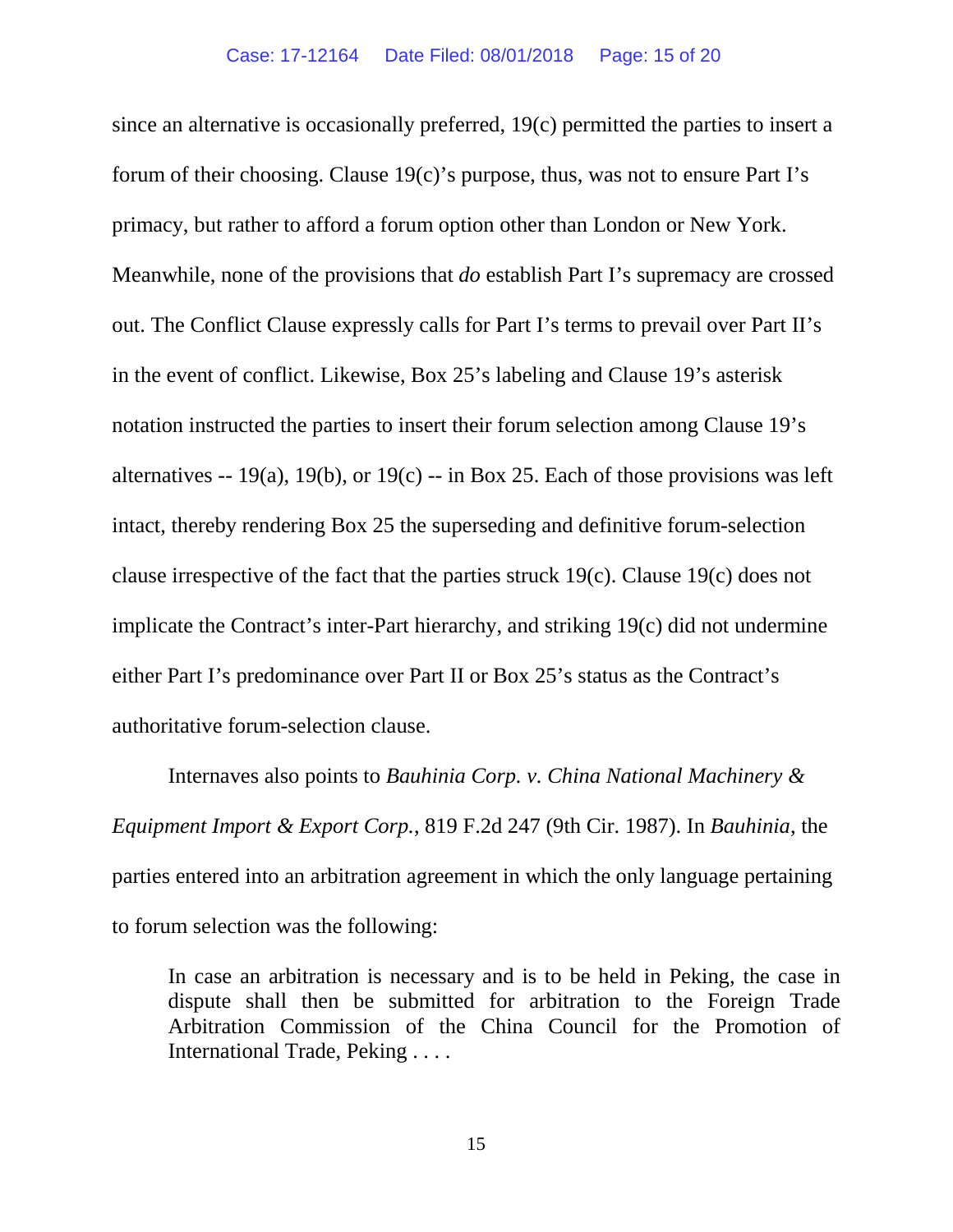since an alternative is occasionally preferred, 19(c) permitted the parties to insert a forum of their choosing. Clause 19(c)'s purpose, thus, was not to ensure Part I's primacy, but rather to afford a forum option other than London or New York. Meanwhile, none of the provisions that *do* establish Part I's supremacy are crossed out. The Conflict Clause expressly calls for Part I's terms to prevail over Part II's in the event of conflict. Likewise, Box 25's labeling and Clause 19's asterisk notation instructed the parties to insert their forum selection among Clause 19's alternatives  $-19(a)$ , 19(b), or 19(c)  $-$  in Box 25. Each of those provisions was left intact, thereby rendering Box 25 the superseding and definitive forum-selection clause irrespective of the fact that the parties struck 19(c). Clause 19(c) does not implicate the Contract's inter-Part hierarchy, and striking 19(c) did not undermine either Part I's predominance over Part II or Box 25's status as the Contract's authoritative forum-selection clause.

Internaves also points to *Bauhinia Corp. v. China National Machinery & Equipment Import & Export Corp.*, 819 F.2d 247 (9th Cir. 1987). In *Bauhinia*, the parties entered into an arbitration agreement in which the only language pertaining to forum selection was the following:

In case an arbitration is necessary and is to be held in Peking, the case in dispute shall then be submitted for arbitration to the Foreign Trade Arbitration Commission of the China Council for the Promotion of International Trade, Peking . . . .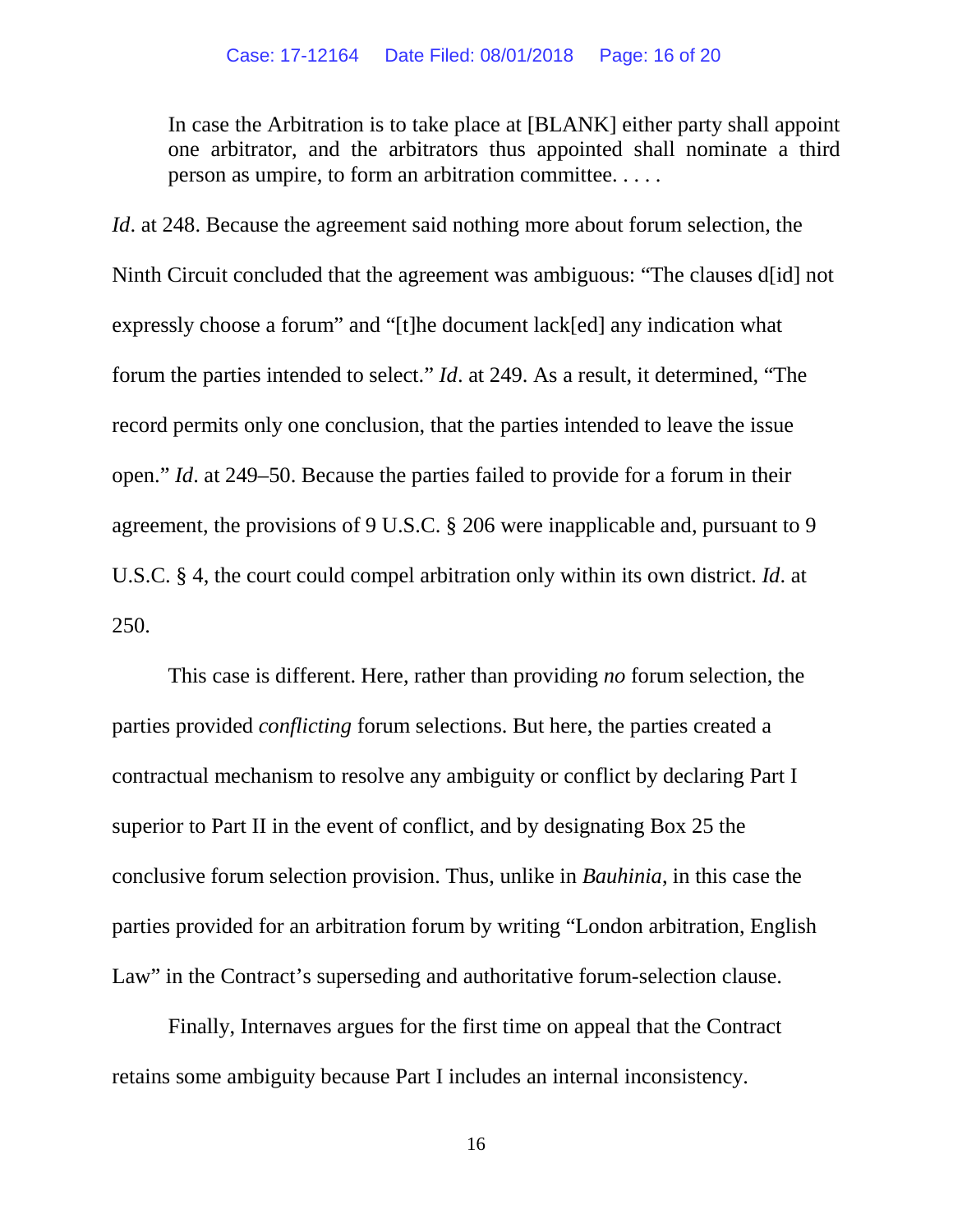In case the Arbitration is to take place at [BLANK] either party shall appoint one arbitrator, and the arbitrators thus appointed shall nominate a third person as umpire, to form an arbitration committee. . . . .

*Id*. at 248. Because the agreement said nothing more about forum selection, the Ninth Circuit concluded that the agreement was ambiguous: "The clauses d[id] not expressly choose a forum" and "[t]he document lack[ed] any indication what forum the parties intended to select." *Id*. at 249. As a result, it determined, "The record permits only one conclusion, that the parties intended to leave the issue open." *Id*. at 249–50. Because the parties failed to provide for a forum in their agreement, the provisions of 9 U.S.C. § 206 were inapplicable and, pursuant to 9 U.S.C. § 4, the court could compel arbitration only within its own district. *Id*. at 250.

This case is different. Here, rather than providing *no* forum selection, the parties provided *conflicting* forum selections. But here, the parties created a contractual mechanism to resolve any ambiguity or conflict by declaring Part I superior to Part II in the event of conflict, and by designating Box 25 the conclusive forum selection provision. Thus, unlike in *Bauhinia*, in this case the parties provided for an arbitration forum by writing "London arbitration, English Law" in the Contract's superseding and authoritative forum-selection clause.

Finally, Internaves argues for the first time on appeal that the Contract retains some ambiguity because Part I includes an internal inconsistency.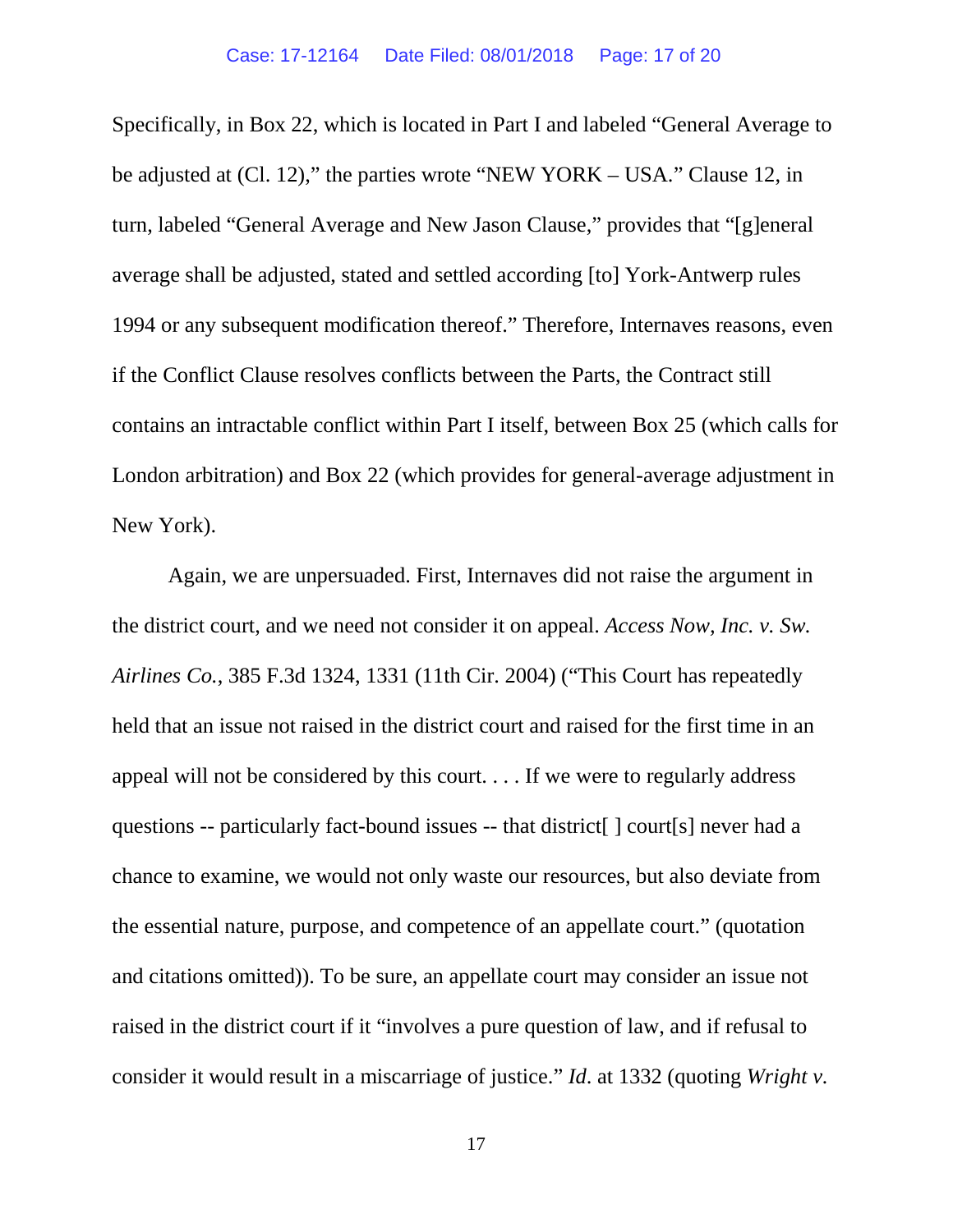Specifically, in Box 22, which is located in Part I and labeled "General Average to be adjusted at (Cl. 12)," the parties wrote "NEW YORK – USA." Clause 12, in turn, labeled "General Average and New Jason Clause," provides that "[g]eneral average shall be adjusted, stated and settled according [to] York-Antwerp rules 1994 or any subsequent modification thereof." Therefore, Internaves reasons, even if the Conflict Clause resolves conflicts between the Parts, the Contract still contains an intractable conflict within Part I itself, between Box 25 (which calls for London arbitration) and Box 22 (which provides for general-average adjustment in New York).

Again, we are unpersuaded. First, Internaves did not raise the argument in the district court, and we need not consider it on appeal. *Access Now, Inc. v. Sw. Airlines Co.*, 385 F.3d 1324, 1331 (11th Cir. 2004) ("This Court has repeatedly held that an issue not raised in the district court and raised for the first time in an appeal will not be considered by this court. . . . If we were to regularly address questions -- particularly fact-bound issues -- that district[ ] court[s] never had a chance to examine, we would not only waste our resources, but also deviate from the essential nature, purpose, and competence of an appellate court." (quotation and citations omitted)). To be sure, an appellate court may consider an issue not raised in the district court if it "involves a pure question of law, and if refusal to consider it would result in a miscarriage of justice." *Id*. at 1332 (quoting *Wright v.*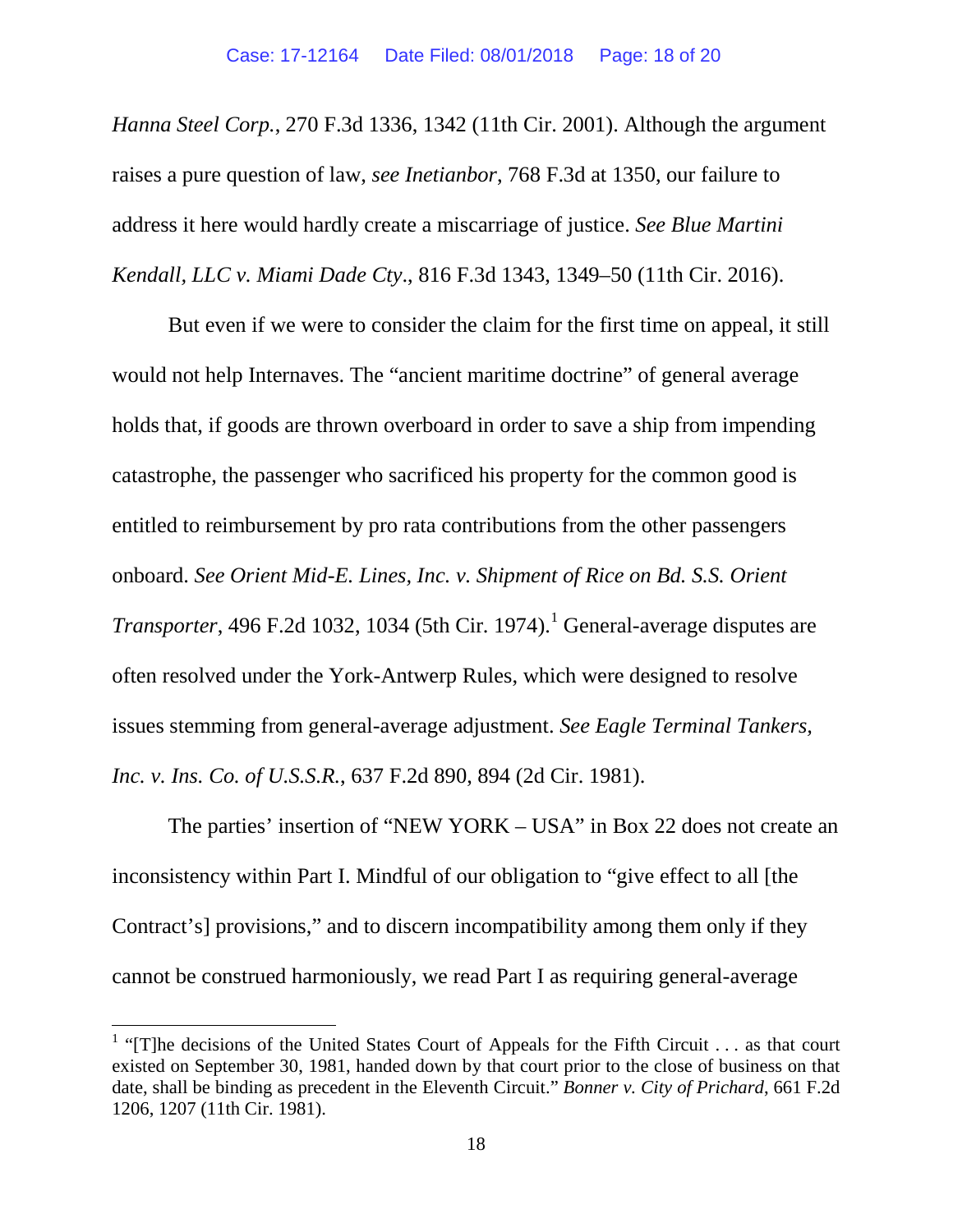*Hanna Steel Corp.*, 270 F.3d 1336, 1342 (11th Cir. 2001). Although the argument raises a pure question of law, *see Inetianbor*, 768 F.3d at 1350, our failure to address it here would hardly create a miscarriage of justice. *See Blue Martini Kendall, LLC v. Miami Dade Cty*., 816 F.3d 1343, 1349–50 (11th Cir. 2016).

But even if we were to consider the claim for the first time on appeal, it still would not help Internaves. The "ancient maritime doctrine" of general average holds that, if goods are thrown overboard in order to save a ship from impending catastrophe, the passenger who sacrificed his property for the common good is entitled to reimbursement by pro rata contributions from the other passengers onboard. *See Orient Mid-E. Lines, Inc. v. Shipment of Rice on Bd. S.S. Orient Transporter*, 496 F.2d [1](#page-17-0)032, 1034 (5th Cir. 1974).<sup>1</sup> General-average disputes are often resolved under the York-Antwerp Rules, which were designed to resolve issues stemming from general-average adjustment. *See Eagle Terminal Tankers, Inc. v. Ins. Co. of U.S.S.R.*, 637 F.2d 890, 894 (2d Cir. 1981).

The parties' insertion of "NEW YORK – USA" in Box 22 does not create an inconsistency within Part I. Mindful of our obligation to "give effect to all [the Contract's] provisions," and to discern incompatibility among them only if they cannot be construed harmoniously, we read Part I as requiring general-average

<span id="page-17-0"></span><sup>&</sup>lt;sup>1</sup> "[T]he decisions of the United States Court of Appeals for the Fifth Circuit . . . as that court existed on September 30, 1981, handed down by that court prior to the close of business on that date, shall be binding as precedent in the Eleventh Circuit." *Bonner v. City of Prichard*, 661 F.2d 1206, 1207 (11th Cir. 1981).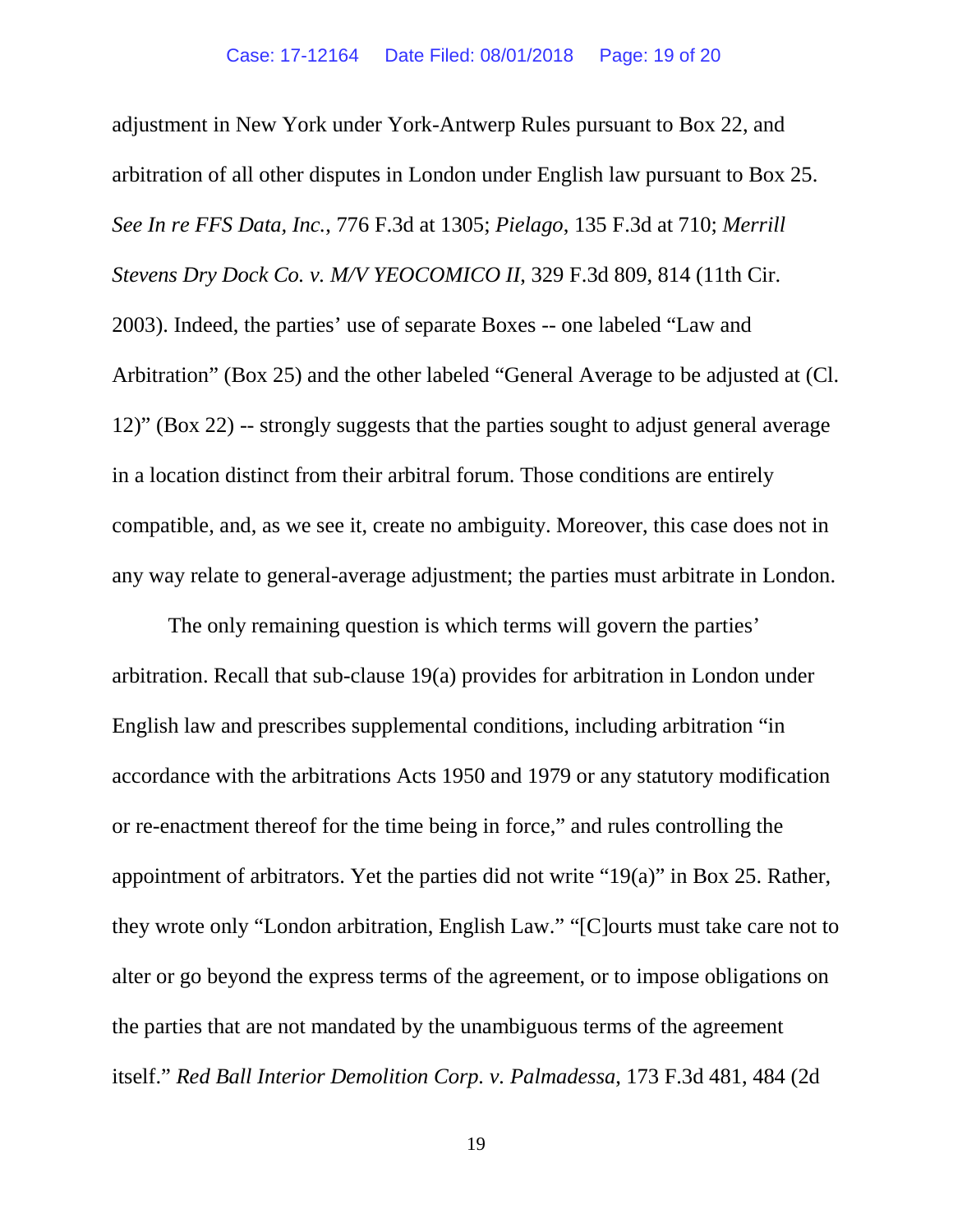adjustment in New York under York-Antwerp Rules pursuant to Box 22, and arbitration of all other disputes in London under English law pursuant to Box 25. *See In re FFS Data, Inc.*, 776 F.3d at 1305; *Pielago*, 135 F.3d at 710; *Merrill Stevens Dry Dock Co. v. M/V YEOCOMICO II*, 329 F.3d 809, 814 (11th Cir. 2003). Indeed, the parties' use of separate Boxes -- one labeled "Law and Arbitration" (Box 25) and the other labeled "General Average to be adjusted at (Cl. 12)" (Box 22) -- strongly suggests that the parties sought to adjust general average in a location distinct from their arbitral forum. Those conditions are entirely compatible, and, as we see it, create no ambiguity. Moreover, this case does not in any way relate to general-average adjustment; the parties must arbitrate in London.

The only remaining question is which terms will govern the parties' arbitration. Recall that sub-clause 19(a) provides for arbitration in London under English law and prescribes supplemental conditions, including arbitration "in accordance with the arbitrations Acts 1950 and 1979 or any statutory modification or re-enactment thereof for the time being in force," and rules controlling the appointment of arbitrators. Yet the parties did not write "19(a)" in Box 25. Rather, they wrote only "London arbitration, English Law." "[C]ourts must take care not to alter or go beyond the express terms of the agreement, or to impose obligations on the parties that are not mandated by the unambiguous terms of the agreement itself." *Red Ball Interior Demolition Corp. v. Palmadessa*, 173 F.3d 481, 484 (2d